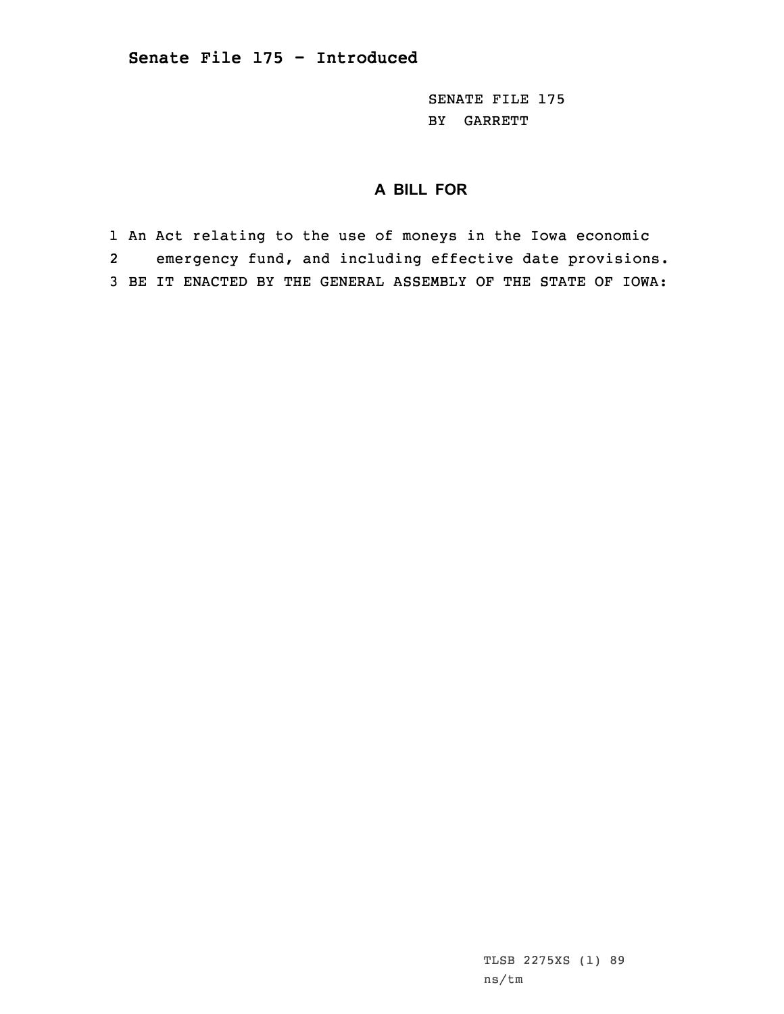SENATE FILE 175 BY GARRETT

## **A BILL FOR**

1 An Act relating to the use of moneys in the Iowa economic 2 emergency fund, and including effective date provisions. 3 BE IT ENACTED BY THE GENERAL ASSEMBLY OF THE STATE OF IOWA:

> TLSB 2275XS (1) 89 ns/tm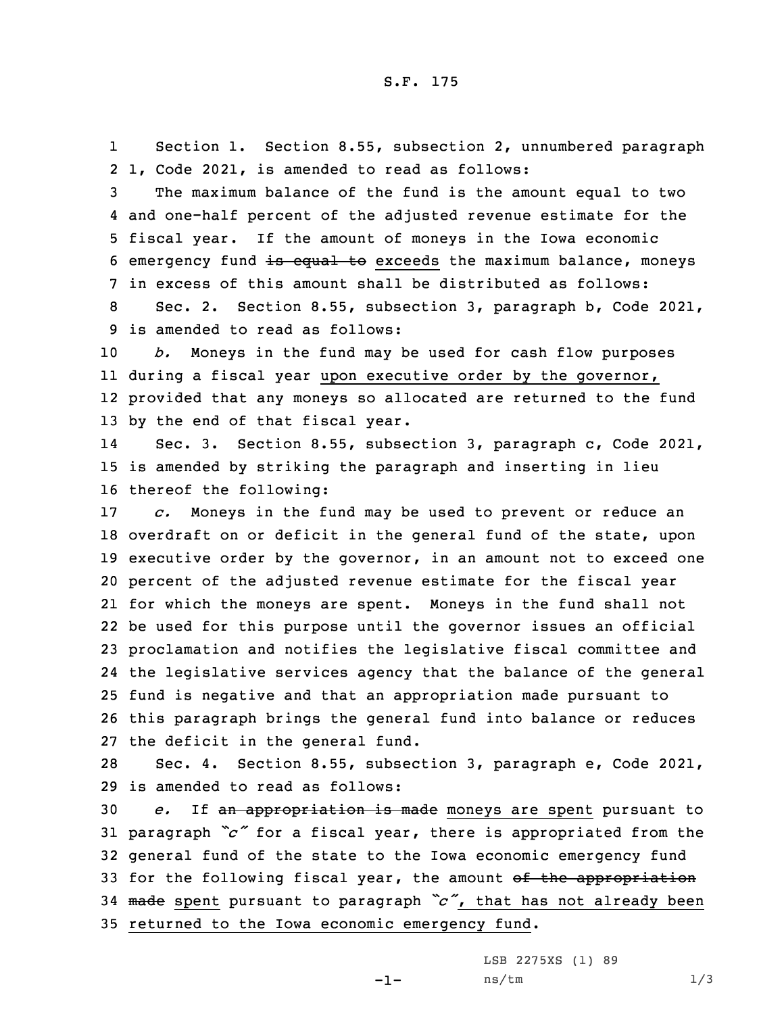1 Section 1. Section 8.55, subsection 2, unnumbered paragraph 2 1, Code 2021, is amended to read as follows:

 The maximum balance of the fund is the amount equal to two and one-half percent of the adjusted revenue estimate for the fiscal year. If the amount of moneys in the Iowa economic 6 emergency fund is equal to exceeds the maximum balance, moneys in excess of this amount shall be distributed as follows:

8 Sec. 2. Section 8.55, subsection 3, paragraph b, Code 2021, 9 is amended to read as follows:

 *b.* Moneys in the fund may be used for cash flow purposes during <sup>a</sup> fiscal year upon executive order by the governor, provided that any moneys so allocated are returned to the fund by the end of that fiscal year.

14 Sec. 3. Section 8.55, subsection 3, paragraph c, Code 2021, 15 is amended by striking the paragraph and inserting in lieu 16 thereof the following:

 *c.* Moneys in the fund may be used to prevent or reduce an overdraft on or deficit in the general fund of the state, upon executive order by the governor, in an amount not to exceed one percent of the adjusted revenue estimate for the fiscal year for which the moneys are spent. Moneys in the fund shall not be used for this purpose until the governor issues an official proclamation and notifies the legislative fiscal committee and the legislative services agency that the balance of the general fund is negative and that an appropriation made pursuant to this paragraph brings the general fund into balance or reduces the deficit in the general fund.

28 Sec. 4. Section 8.55, subsection 3, paragraph e, Code 2021, 29 is amended to read as follows:

 *e.* If an appropriation is made moneys are spent pursuant to paragraph *"c"* for <sup>a</sup> fiscal year, there is appropriated from the general fund of the state to the Iowa economic emergency fund 33 for the following fiscal year, the amount of the appropriation made spent pursuant to paragraph *"c"*, that has not already been returned to the Iowa economic emergency fund.

-1-

LSB 2275XS (1) 89 ns/tm 1/3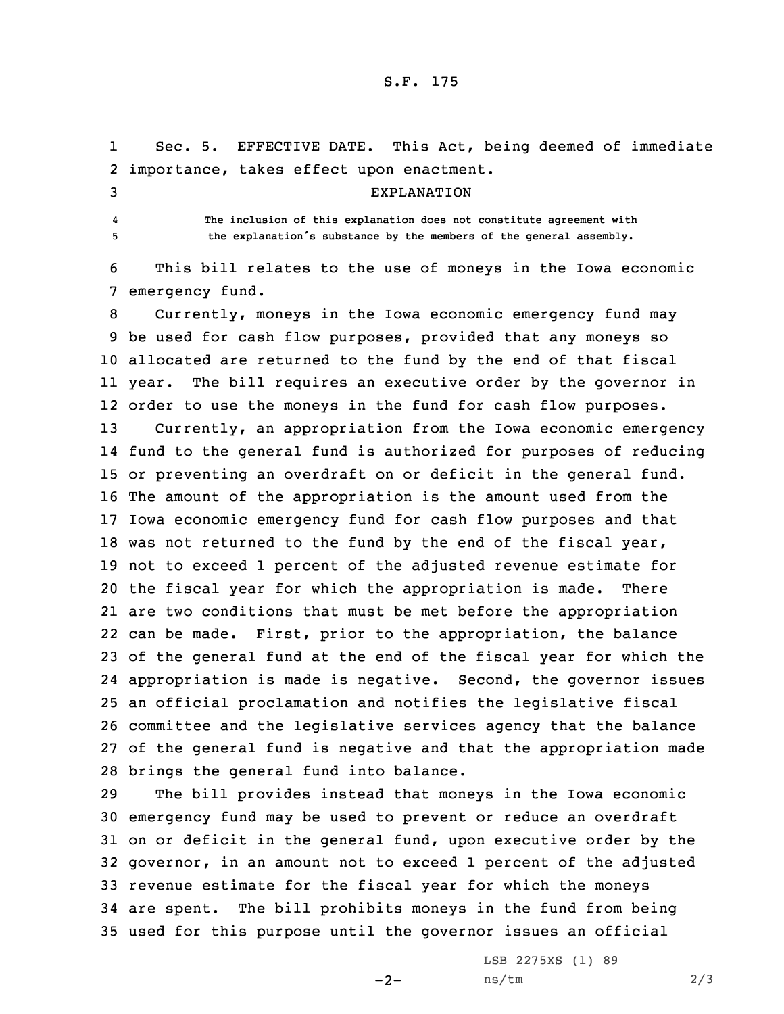## S.F. 175

1 Sec. 5. EFFECTIVE DATE. This Act, being deemed of immediate importance, takes effect upon enactment. EXPLANATION 4 **The inclusion of this explanation does not constitute agreement with the explanation's substance by the members of the general assembly.** This bill relates to the use of moneys in the Iowa economic emergency fund. Currently, moneys in the Iowa economic emergency fund may be used for cash flow purposes, provided that any moneys so allocated are returned to the fund by the end of that fiscal year. The bill requires an executive order by the governor in

 order to use the moneys in the fund for cash flow purposes. Currently, an appropriation from the Iowa economic emergency fund to the general fund is authorized for purposes of reducing or preventing an overdraft on or deficit in the general fund. The amount of the appropriation is the amount used from the Iowa economic emergency fund for cash flow purposes and that 18 was not returned to the fund by the end of the fiscal year, not to exceed 1 percent of the adjusted revenue estimate for the fiscal year for which the appropriation is made. There are two conditions that must be met before the appropriation can be made. First, prior to the appropriation, the balance of the general fund at the end of the fiscal year for which the appropriation is made is negative. Second, the governor issues an official proclamation and notifies the legislative fiscal committee and the legislative services agency that the balance of the general fund is negative and that the appropriation made brings the general fund into balance.

 The bill provides instead that moneys in the Iowa economic emergency fund may be used to prevent or reduce an overdraft on or deficit in the general fund, upon executive order by the governor, in an amount not to exceed 1 percent of the adjusted revenue estimate for the fiscal year for which the moneys are spent. The bill prohibits moneys in the fund from being used for this purpose until the governor issues an official

 $-2-$ 

LSB 2275XS (1) 89  $ns/tm$  2/3